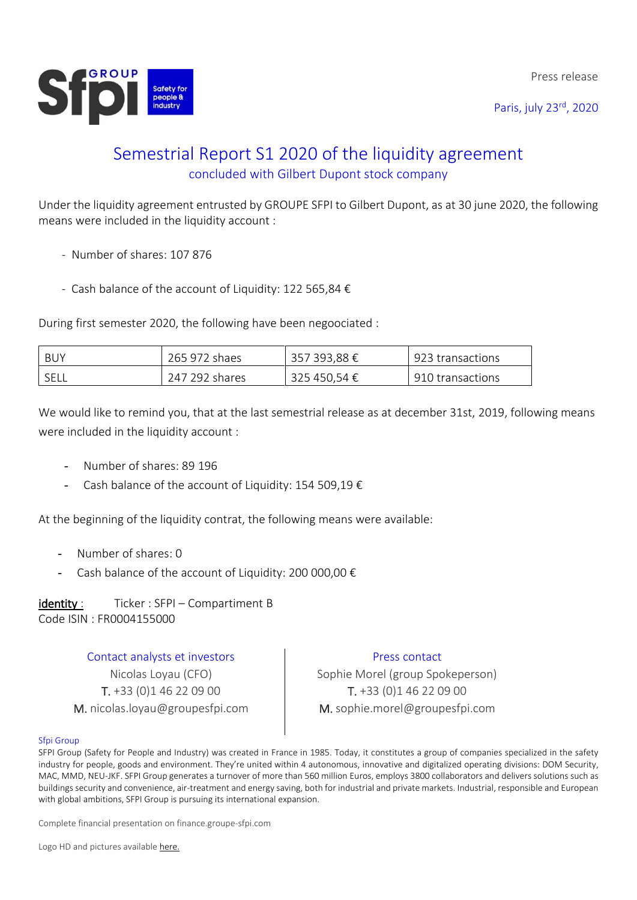Press release

Paris, july 23rd, 2020



## Semestrial Report S1 2020 of the liquidity agreement concluded with Gilbert Dupont stock company

Under the liquidity agreement entrusted by GROUPE SFPI to Gilbert Dupont, as at 30 june 2020, the following means were included in the liquidity account :

- Number of shares: 107 876
- Cash balance of the account of Liquidity: 122 565,84 €

During first semester 2020, the following have been negoociated :

| <b>BUY</b> | 265 972 shaes  | 357 393,88 € | 923 transactions |
|------------|----------------|--------------|------------------|
| SELL       | 247 292 shares | 325 450,54 € | 910 transactions |

We would like to remind you, that at the last semestrial release as at december 31st, 2019, following means were included in the liquidity account :

- Number of shares: 89 196
- Cash balance of the account of Liquidity: 154 509,19  $\epsilon$

At the beginning of the liquidity contrat, the following means were available:

- Number of shares: 0
- Cash balance of the account of Liquidity: 200 000,00  $\epsilon$

identity : Ticker : SFPI – Compartiment B Code ISIN : FR0004155000

> Contact analysts et investors Nicolas Loyau (CFO) T. +33 (0)1 46 22 09 00 M. nicolas.loyau@groupesfpi.com

## Press contact

Sophie Morel (group Spokeperson) T. +33 (0)1 46 22 09 00 M. sophie.morel@groupesfpi.com

## Sfpi Group

SFPI Group (Safety for People and Industry) was created in France in 1985. Today, it constitutes a group of companies specialized in the safety industry for people, goods and environment. They're united within 4 autonomous, innovative and digitalized operating divisions: DOM Security, MAC, MMD, NEU-JKF. SFPI Group generates a turnover of more than 560 million Euros, employs 3800 collaborators and delivers solutions such as buildings security and convenience, air-treatment and energy saving, both for industrial and private markets. Industrial, responsible and European with global ambitions, SFPI Group is pursuing its international expansion.

Complete financial presentation on finance.groupe-sfpi.com

Logo HD and pictures available [here.](https://www.dropbox.com/sh/fjfcue7verdei5s/AAACIXEPiPoCyJ9mE1vGdn0aa?dl=0)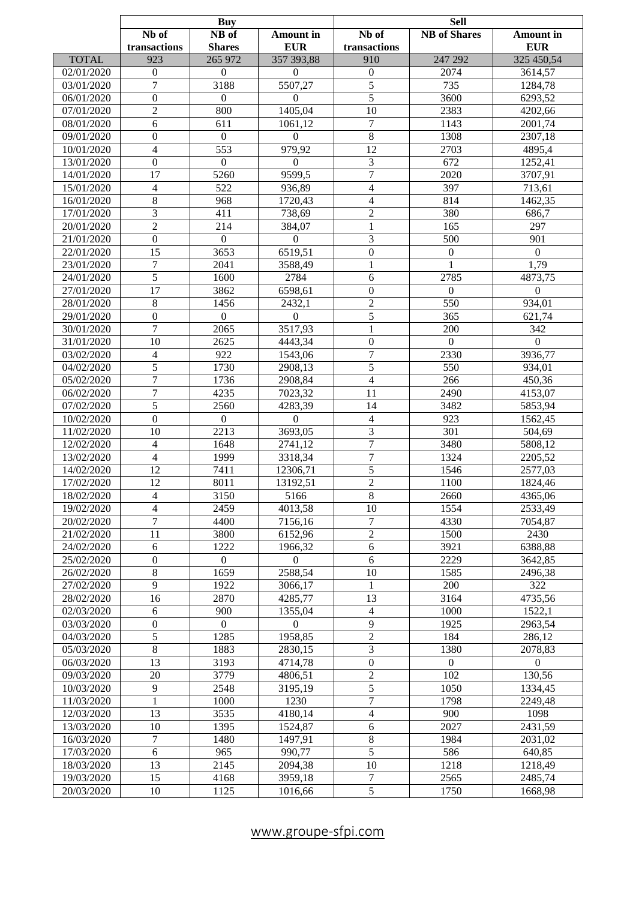|              | Buy                     |                  | Sell             |                  |                     |                  |
|--------------|-------------------------|------------------|------------------|------------------|---------------------|------------------|
|              | Nb of                   | NB of            | <b>Amount</b> in | Nb of            | <b>NB</b> of Shares | <b>Amount</b> in |
|              | transactions            | <b>Shares</b>    | <b>EUR</b>       | transactions     |                     | <b>EUR</b>       |
| <b>TOTAL</b> | 923                     | 265 972          | 357 393,88       | 910              | 247 292             | 325 450,54       |
| 02/01/2020   | $\boldsymbol{0}$        | $\theta$         | $\mathbf{0}$     | $\boldsymbol{0}$ | 2074                | 3614,57          |
| 03/01/2020   | 7                       | 3188             | 5507,27          | $\mathfrak s$    | 735                 |                  |
|              |                         |                  |                  |                  |                     | 1284,78          |
| 06/01/2020   | $\boldsymbol{0}$        | $\theta$         | $\mathbf{0}$     | $\sqrt{5}$       | 3600                | 6293,52          |
| 07/01/2020   | $\overline{2}$          | 800              | 1405,04          | 10               | 2383                | 4202,66          |
| 08/01/2020   | 6                       | 611              | 1061,12          | 7                | 1143                | 2001,74          |
| 09/01/2020   | $\boldsymbol{0}$        | $\overline{0}$   | $\mathbf{0}$     | $\,8\,$          | 1308                | 2307,18          |
| 10/01/2020   | $\overline{4}$          | 553              | 979,92           | 12               | 2703                | 4895,4           |
| 13/01/2020   | $\boldsymbol{0}$        | $\boldsymbol{0}$ | $\mathbf{0}$     | 3                | 672                 | 1252,41          |
| 14/01/2020   | 17                      | 5260             | 9599,5           | $\tau$           | 2020                | 3707,91          |
| 15/01/2020   | $\overline{4}$          | 522              | 936,89           | $\overline{4}$   | 397                 | 713,61           |
| 16/01/2020   | 8                       | 968              | 1720,43          | $\overline{4}$   | 814                 | 1462,35          |
| 17/01/2020   | 3                       | 411              | 738,69           | $\overline{2}$   | 380                 | 686,7            |
| 20/01/2020   | $\overline{2}$          | 214              | 384,07           | 1                | 165                 | 297              |
| 21/01/2020   | $\boldsymbol{0}$        | $\boldsymbol{0}$ | $\mathbf{0}$     |                  | 500                 | 901              |
|              |                         |                  |                  | 3                |                     |                  |
| 22/01/2020   | 15                      | 3653             | 6519,51          | $\boldsymbol{0}$ | $\overline{0}$      | $\mathbf{0}$     |
| 23/01/2020   | 7                       | 2041             | 3588,49          | 1                |                     | 1,79             |
| 24/01/2020   | 5                       | 1600             | 2784             | 6                | 2785                | 4873,75          |
| 27/01/2020   | 17                      | 3862             | 6598,61          | $\boldsymbol{0}$ | $\overline{0}$      | $\mathbf{0}$     |
| 28/01/2020   | $8\,$                   | 1456             | 2432,1           | $\overline{2}$   | 550                 | 934,01           |
| 29/01/2020   | $\boldsymbol{0}$        | $\boldsymbol{0}$ | $\boldsymbol{0}$ | $\sqrt{5}$       | 365                 | 621,74           |
| 30/01/2020   | 7                       | 2065             | 3517,93          | 1                | 200                 | 342              |
| 31/01/2020   | 10                      | 2625             | 4443,34          | $\boldsymbol{0}$ | $\overline{0}$      | $\mathbf{0}$     |
| 03/02/2020   | $\overline{\mathbf{4}}$ | 922              | 1543,06          | 7                | 2330                | 3936,77          |
| 04/02/2020   | 5                       | 1730             | 2908,13          | $\mathfrak s$    | 550                 | 934,01           |
| 05/02/2020   | 7                       | 1736             | 2908,84          | $\overline{4}$   | 266                 | 450,36           |
| 06/02/2020   | 7                       | 4235             | 7023,32          | 11               | 2490                | 4153,07          |
| 07/02/2020   | $\overline{5}$          | 2560             | 4283,39          | 14               | 3482                | 5853,94          |
|              |                         |                  |                  |                  |                     |                  |
| 10/02/2020   | $\boldsymbol{0}$        | $\boldsymbol{0}$ | $\theta$         | $\overline{4}$   | 923                 | 1562,45          |
| 11/02/2020   | 10                      | 2213             | 3693,05          | 3                | 301                 | 504,69           |
| 12/02/2020   | $\overline{4}$          | 1648             | 2741,12          | $\overline{7}$   | 3480                | 5808,12          |
| 13/02/2020   | $\overline{4}$          | 1999             | 3318,34          | $\overline{7}$   | 1324                | 2205,52          |
| 14/02/2020   | 12                      | 7411             | 12306,71         | 5                | 1546                | 2577,03          |
| 17/02/2020   | 12                      | 8011             | 13192,51         | $\overline{2}$   | 1100                | 1824,46          |
| 18/02/2020   | $\overline{4}$          | 3150             | 5166             | $\overline{8}$   | 2660                | 4365,06          |
| 19/02/2020   | 4                       | 2459             | 4013,58          | 10               | 1554                | 2533,49          |
| 20/02/2020   | 7                       | 4400             | 7156,16          | 7                | 4330                | 7054,87          |
| 21/02/2020   | 11                      | 3800             | 6152,96          | $\overline{2}$   | 1500                | 2430             |
| 24/02/2020   | 6                       | 1222             | 1966,32          | $\sqrt{6}$       | 3921                | 6388,88          |
| 25/02/2020   | $\boldsymbol{0}$        | $\overline{0}$   | $\Omega$         | 6                | 2229                | 3642,85          |
| 26/02/2020   | 8                       | 1659             | 2588,54          | 10               | 1585                | 2496,38          |
| 27/02/2020   | 9                       | 1922             | 3066,17          | 1                | 200                 | 322              |
| 28/02/2020   | 16                      | 2870             | 4285,77          | 13               | 3164                | 4735,56          |
|              |                         |                  |                  |                  |                     |                  |
| 02/03/2020   | 6                       | 900              | 1355,04          | $\overline{4}$   | 1000                | 1522,1           |
| 03/03/2020   | $\boldsymbol{0}$        | $\overline{0}$   | $\overline{0}$   | 9                | 1925                | 2963,54          |
| 04/03/2020   | 5                       | 1285             | 1958,85          | $\sqrt{2}$       | 184                 | 286,12           |
| 05/03/2020   | 8                       | 1883             | 2830,15          | 3                | 1380                | 2078,83          |
| 06/03/2020   | 13                      | 3193             | 4714,78          | $\boldsymbol{0}$ | $\overline{0}$      | $\Omega$         |
| 09/03/2020   | 20                      | 3779             | 4806,51          | $\sqrt{2}$       | 102                 | 130,56           |
| 10/03/2020   | 9                       | 2548             | 3195,19          | 5                | 1050                | 1334,45          |
| 11/03/2020   | $\mathbf{1}$            | 1000             | 1230             | $\overline{7}$   | 1798                | 2249,48          |
| 12/03/2020   | 13                      | 3535             | 4180,14          | $\overline{4}$   | 900                 | 1098             |
| 13/03/2020   | 10                      | 1395             | 1524,87          | 6                | 2027                | 2431,59          |
| 16/03/2020   | 7                       | 1480             | 1497,91          | $\,8\,$          | 1984                | 2031,02          |
| 17/03/2020   | 6                       | 965              | 990,77           | $\overline{5}$   | 586                 | 640,85           |
| 18/03/2020   | 13                      | 2145             | 2094,38          | 10               | 1218                | 1218,49          |
| 19/03/2020   |                         |                  | 3959,18          | 7                | 2565                |                  |
|              | 15                      | 4168             |                  |                  |                     | 2485,74          |
| 20/03/2020   | 10                      | 1125             | 1016,66          | 5                | 1750                | 1668,98          |

Г

[www.groupe-sfpi.com](http://www.groupe-sfpi.com/)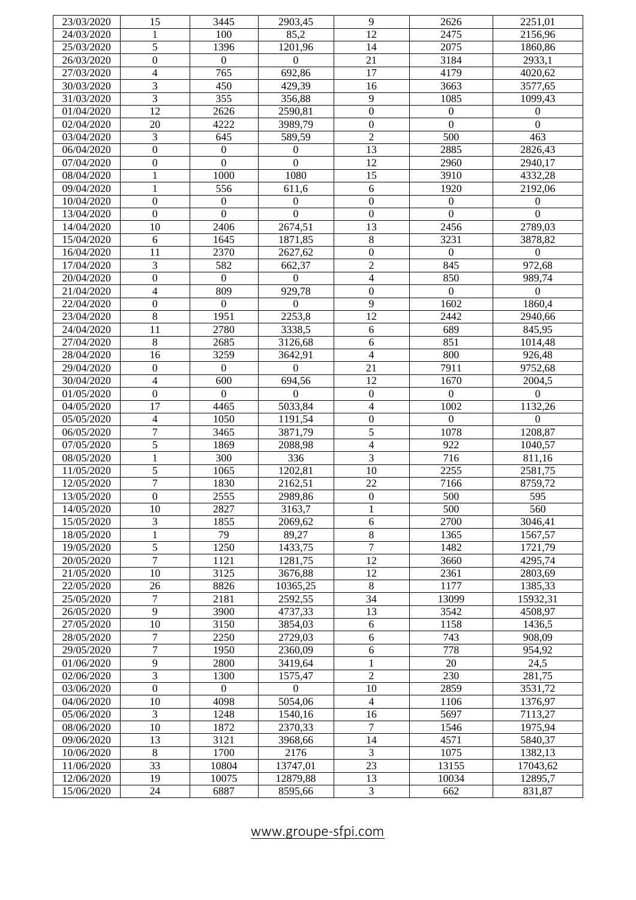| 23/03/2020 | 15                      | 3445             | 2903,45             | 9                        | 2626             | 2251,01          |
|------------|-------------------------|------------------|---------------------|--------------------------|------------------|------------------|
| 24/03/2020 | 1                       | 100              | 85,2                | $\overline{12}$          | 2475             | 2156,96          |
| 25/03/2020 | 5                       | 1396             | 1201,96             | 14                       | 2075             | 1860,86          |
| 26/03/2020 | $\mathbf{0}$            | $\overline{0}$   | $\Omega$            | 21                       | 3184             | 2933,1           |
| 27/03/2020 | $\overline{4}$          | 765              | 692,86              | 17                       | 4179             | 4020,62          |
| 30/03/2020 | 3                       | 450              | 429,39              | 16                       | 3663             | 3577,65          |
| 31/03/2020 | $\overline{3}$          | $\overline{355}$ | 356,88              | $\overline{9}$           | 1085             | 1099,43          |
| 01/04/2020 | $\overline{12}$         | 2626             | 2590,81             | $\overline{0}$           | $\overline{0}$   | $\overline{0}$   |
| 02/04/2020 | 20                      | 4222             | 3989,79             | $\overline{0}$           | $\overline{0}$   | $\mathbf{0}$     |
| 03/04/2020 | 3                       | 645              | 589,59              | $\overline{2}$           | $\overline{500}$ | 463              |
| 06/04/2020 | $\overline{0}$          | $\boldsymbol{0}$ | $\mathbf{0}$        | $\overline{13}$          | 2885             | 2826,43          |
| 07/04/2020 | $\overline{0}$          | $\overline{0}$   | $\theta$            | $\overline{12}$          | 2960             | 2940,17          |
| 08/04/2020 | $\mathbf{1}$            | 1000             | 1080                | $\overline{15}$          | 3910             | 4332,28          |
| 09/04/2020 | $\mathbf{1}$            | $\frac{556}{ }$  | 611,6               | 6                        | 1920             | 2192,06          |
| 10/04/2020 | $\overline{0}$          | $\overline{0}$   | $\mathbf{0}$        | $\overline{0}$           | $\overline{0}$   | $\mathbf{0}$     |
| 13/04/2020 | $\overline{0}$          | $\overline{0}$   | $\theta$            | $\overline{0}$           | $\mathbf{0}$     | $\Omega$         |
| 14/04/2020 | 10                      | 2406             | 2674,51             | $\overline{13}$          | 2456             | 2789,03          |
| 15/04/2020 | 6                       | 1645             | 1871,85             | $\overline{8}$           | 3231             | 3878,82          |
| 16/04/2020 | 11                      | 2370             | 2627,62             | $\overline{0}$           | $\overline{0}$   | $\boldsymbol{0}$ |
| 17/04/2020 | 3                       | 582              | 662,37              | $\overline{2}$           | 845              | 972,68           |
| 20/04/2020 | $\overline{0}$          | $\boldsymbol{0}$ | $\Omega$            | $\overline{\mathcal{L}}$ | 850              | 989,74           |
| 21/04/2020 | $\overline{\mathbf{4}}$ | 809              | 929,78              | $\overline{0}$           | $\overline{0}$   | $\overline{0}$   |
| 22/04/2020 | $\boldsymbol{0}$        | $\mathbf{0}$     | $\Omega$            | $\overline{9}$           | 1602             | 1860,4           |
| 23/04/2020 | $\overline{8}$          | 1951             | 2253,8              | 12                       | 2442             | 2940,66          |
| 24/04/2020 | 11                      | 2780             | 3338,5              | 6                        | 689              | 845,95           |
| 27/04/2020 | $\overline{8}$          | 2685             |                     | $\overline{6}$           | 851              |                  |
|            | $\overline{16}$         |                  | 3126,68             | $\overline{4}$           | 800              | 1014,48          |
| 28/04/2020 | $\mathbf{0}$            | 3259             | 3642,91<br>$\Omega$ |                          |                  | 926,48           |
| 29/04/2020 |                         | $\boldsymbol{0}$ |                     | 21                       | 7911             | 9752,68          |
| 30/04/2020 | 4                       | $\overline{600}$ | 694,56              | $\overline{12}$          | 1670             | 2004,5           |
| 01/05/2020 | $\overline{0}$          | $\mathbf{0}$     | $\Omega$            | $\overline{0}$           | $\boldsymbol{0}$ | $\overline{0}$   |
| 04/05/2020 | $\overline{17}$         | 4465             | 5033,84             | 4                        | 1002             | 1132,26          |
| 05/05/2020 | $\overline{4}$          | 1050             | 1191,54             | $\boldsymbol{0}$         | $\overline{0}$   | $\overline{0}$   |
| 06/05/2020 | $\overline{7}$          | 3465             | 3871,79             | 5                        | 1078             | 1208,87          |
| 07/05/2020 | 5                       | 1869             | 2088,98             | 4                        | 922              | 1040,57          |
| 08/05/2020 | $\mathbf{1}$            | 300              | 336                 | $\overline{3}$           | $\overline{7}16$ | 811,16           |
| 11/05/2020 | $\overline{5}$          | 1065             | 1202,81             | $\overline{10}$          | 2255             | 2581,75          |
| 12/05/2020 | $\overline{7}$          | 1830             | 2162,51             | $\overline{22}$          | 7166             | 8759,72          |
| 13/05/2020 | $\overline{0}$          | 2555             | 2989,86             | $\overline{0}$           | 500              | $\overline{595}$ |
| 14/05/2020 | 10                      | 2827             | 3163,7              | 1                        | 500              | 560              |
| 15/05/2020 | 3                       | 1855             | 2069,62             | 6                        | 2700             | 3046,41          |
| 18/05/2020 | $\mathbf{1}$            | 79               | 89,27               | $\overline{8}$           | 1365             | 1567,57          |
| 19/05/2020 | $\overline{5}$          | 1250             | 1433,75             | $\overline{7}$           | 1482             | 1721,79          |
| 20/05/2020 | $\overline{7}$          | 1121             | 1281,75             | 12                       | 3660             | 4295,74          |
| 21/05/2020 | 10                      | 3125             | 3676,88             | 12                       | 2361             | 2803,69          |
| 22/05/2020 | 26                      | 8826             | 10365,25            | $\overline{8}$           | 1177             | 1385,33          |
| 25/05/2020 | 7                       | 2181             | 2592,55             | 34                       | 13099            | 15932,31         |
| 26/05/2020 | 9                       | 3900             | 4737,33             | $\overline{13}$          | 3542             | 4508,97          |
| 27/05/2020 | 10                      | 3150             | 3854,03             | 6                        | 1158             | 1436,5           |
| 28/05/2020 | 7                       | 2250             | 2729,03             | 6                        | 743              | 908,09           |
| 29/05/2020 | $\overline{7}$          | 1950             | 2360,09             | 6                        | 778              | 954,92           |
| 01/06/2020 | 9                       | 2800             | 3419,64             | $\mathbf{1}$             | 20               | 24,5             |
| 02/06/2020 | 3                       | 1300             | 1575,47             | $\overline{2}$           | 230              | 281,75           |
| 03/06/2020 | $\overline{0}$          | $\overline{0}$   | $\theta$            | 10                       | 2859             | 3531,72          |
| 04/06/2020 | 10                      | 4098             | 5054,06             | $\overline{4}$           | 1106             | 1376,97          |
| 05/06/2020 | 3                       | 1248             | 1540,16             | 16                       | 5697             | 7113,27          |
| 08/06/2020 | 10                      | 1872             | 2370,33             | $\tau$                   | 1546             | 1975,94          |
| 09/06/2020 | 13                      | 3121             | 3968,66             | 14                       | 4571             | 5840,37          |
| 10/06/2020 | $\,8\,$                 | 1700             | 2176                | 3                        | 1075             | 1382,13          |
| 11/06/2020 | 33                      | 10804            | 13747,01            | $\overline{23}$          | 13155            | 17043,62         |
| 12/06/2020 | 19                      | 10075            | 12879,88            | 13                       | 10034            | 12895,7          |
| 15/06/2020 | 24                      | 6887             | 8595,66             | 3                        | 662              | 831,87           |
|            |                         |                  |                     |                          |                  |                  |

[www.groupe](http://www.groupe-sfpi.com/) -sfpi.com